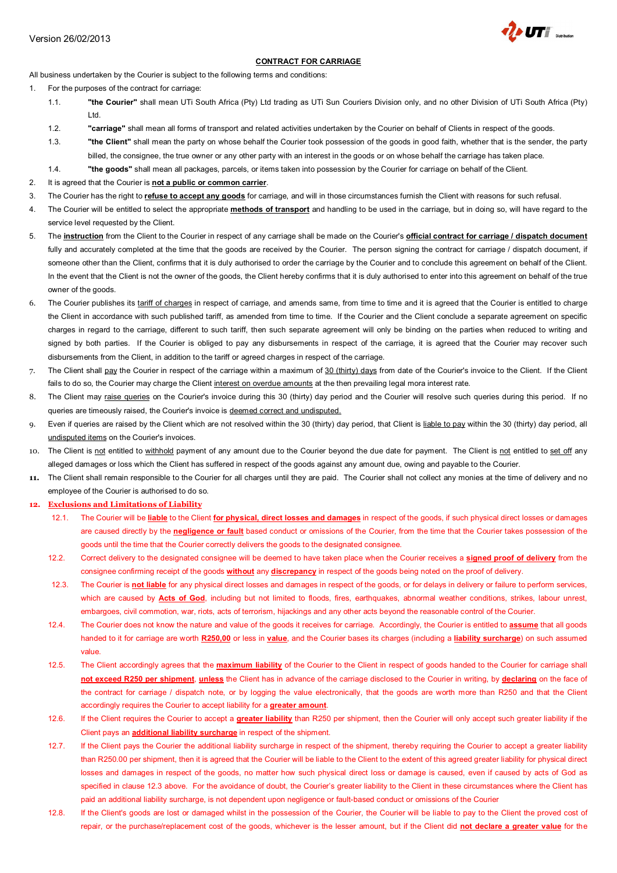

# **CONTRACT FOR CARRIAGE**

All business undertaken by the Courier is subject to the following terms and conditions:

- 1. For the purposes of the contract for carriage:
	- 1.1. **"the Courier"** shall mean UTi South Africa (Pty) Ltd trading as UTi Sun Couriers Division only, and no other Division of UTi South Africa (Pty) Ltd.
	- 1.2. **"carriage"** shall mean all forms of transport and related activities undertaken by the Courier on behalf of Clients in respect of the goods.
	- 1.3. **"the Client"** shall mean the party on whose behalf the Courier took possession of the goods in good faith, whether that is the sender, the party billed, the consignee, the true owner or any other party with an interest in the goods or on whose behalf the carriage has taken place.
	- 1.4. **"the goods"** shall mean all packages, parcels, or items taken into possession by the Courier for carriage on behalf of the Client.
- 2. It is agreed that the Courier is **not a public or common carrier**.
- 3. The Courier has the right to **refuse to accept any goods** for carriage, and will in those circumstances furnish the Client with reasons for such refusal.
- 4. The Courier will be entitled to select the appropriate **methods of transport** and handling to be used in the carriage, but in doing so, will have regard to the service level requested by the Client.
- 5. The **instruction** from the Client to the Courier in respect of any carriage shall be made on the Courier's **official contract for carriage / dispatch document** fully and accurately completed at the time that the goods are received by the Courier. The person signing the contract for carriage / dispatch document, if someone other than the Client, confirms that it is duly authorised to order the carriage by the Courier and to conclude this agreement on behalf of the Client. In the event that the Client is not the owner of the goods, the Client hereby confirms that it is duly authorised to enter into this agreement on behalf of the true owner of the goods.
- 6. The Courier publishes its tariff of charges in respect of carriage, and amends same, from time to time and it is agreed that the Courier is entitled to charge the Client in accordance with such published tariff, as amended from time to time. If the Courier and the Client conclude a separate agreement on specific charges in regard to the carriage, different to such tariff, then such separate agreement will only be binding on the parties when reduced to writing and signed by both parties. If the Courier is obliged to pay any disbursements in respect of the carriage, it is agreed that the Courier may recover such disbursements from the Client, in addition to the tariff or agreed charges in respect of the carriage.
- 7. The Client shall pay the Courier in respect of the carriage within a maximum of 30 (thirty) days from date of the Courier's invoice to the Client. If the Client fails to do so, the Courier may charge the Client interest on overdue amounts at the then prevailing legal mora interest rate.
- 8. The Client may raise queries on the Courier's invoice during this 30 (thirty) day period and the Courier will resolve such queries during this period. If no queries are timeously raised, the Courier's invoice is deemed correct and undisputed.
- 9. Even if queries are raised by the Client which are not resolved within the 30 (thirty) day period, that Client is liable to pay within the 30 (thirty) day period, all undisputed items on the Courier's invoices.
- 10. The Client is not entitled to withhold payment of any amount due to the Courier beyond the due date for payment. The Client is not entitled to set off any alleged damages or loss which the Client has suffered in respect of the goods against any amount due, owing and payable to the Courier.
- **11.** The Client shall remain responsible to the Courier for all charges until they are paid. The Courier shall not collect any monies at the time of delivery and no employee of the Courier is authorised to do so.

## **12. Exclusions and Limitations of Liability**

- 12.1. The Courier will be **liable** to the Client **for physical, direct losses and damages** in respect of the goods, if such physical direct losses or damages are caused directly by the **negligence or fault** based conduct or omissions of the Courier, from the time that the Courier takes possession of the goods until the time that the Courier correctly delivers the goods to the designated consignee.
- 12.2. Correct delivery to the designated consignee will be deemed to have taken place when the Courier receives a **signed proof of delivery** from the consignee confirming receipt of the goods **without** any **discrepancy** in respect of the goods being noted on the proof of delivery.
- 12.3. The Courier is **not liable** for any physical direct losses and damages in respect of the goods, or for delays in delivery or failure to perform services, which are caused by **Acts of God**, including but not limited to floods, fires, earthquakes, abnormal weather conditions, strikes, labour unrest, embargoes, civil commotion, war, riots, acts of terrorism, hijackings and any other acts beyond the reasonable control of the Courier.
- 12.4. The Courier does not know the nature and value of the goods it receives for carriage. Accordingly, the Courier is entitled to **assume** that all goods handed to it for carriage are worth **R250,00** or less in **value**, and the Courier bases its charges (including a **liability surcharge**) on such assumed value.
- 12.5. The Client accordingly agrees that the **maximum liability** of the Courier to the Client in respect of goods handed to the Courier for carriage shall **not exceed R250 per shipment**, **unless** the Client has in advance of the carriage disclosed to the Courier in writing, by **declaring** on the face of the contract for carriage / dispatch note, or by logging the value electronically, that the goods are worth more than R250 and that the Client accordingly requires the Courier to accept liability for a **greater amount**.
- 12.6. If the Client requires the Courier to accept a **greater liability** than R250 per shipment, then the Courier will only accept such greater liability if the Client pays an **additional liability surcharge** in respect of the shipment.
- 12.7. If the Client pays the Courier the additional liability surcharge in respect of the shipment, thereby requiring the Courier to accept a greater liability than R250.00 per shipment, then it is agreed that the Courier will be liable to the Client to the extent of this agreed greater liability for physical direct losses and damages in respect of the goods, no matter how such physical direct loss or damage is caused, even if caused by acts of God as specified in clause 12.3 above. For the avoidance of doubt, the Courier's greater liability to the Client in these circumstances where the Client has paid an additional liability surcharge, is not dependent upon negligence or fault-based conduct or omissions of the Courier
- 12.8. If the Client's goods are lost or damaged whilst in the possession of the Courier, the Courier will be liable to pay to the Client the proved cost of repair, or the purchase/replacement cost of the goods, whichever is the lesser amount, but if the Client did **not declare a greater value** for the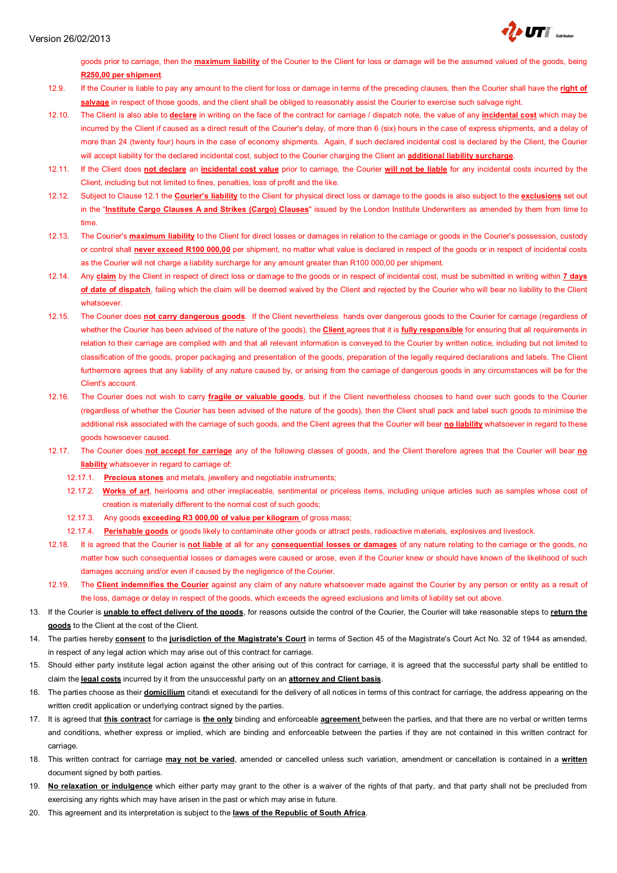

goods prior to carriage, then the **maximum liability** of the Courier to the Client for loss or damage will be the assumed valued of the goods, being **R250,00 per shipment**.

- 12.9. If the Courier is liable to pay any amount to the client for loss or damage in terms of the preceding clauses, then the Courier shall have the **right of salvage** in respect of those goods, and the client shall be obliged to reasonably assist the Courier to exercise such salvage right.
- 12.10. The Client is also able to **declare** in writing on the face of the contract for carriage / dispatch note, the value of any **incidental cost** which may be incurred by the Client if caused as a direct result of the Courier's delay, of more than 6 (six) hours in the case of express shipments, and a delay of more than 24 (twenty four) hours in the case of economy shipments. Again, if such declared incidental cost is declared by the Client, the Courier will accept liability for the declared incidental cost, subject to the Courier charging the Client an **additional liability surcharge**.
- 12.11. If the Client does **not declare** an **incidental cost value** prior to carriage, the Courier **will not be liable** for any incidental costs incurred by the Client, including but not limited to fines, penalties, loss of profit and the like.
- 12.12. Subject to Clause 12.1 the **Courier's liability** to the Client for physical direct loss or damage to the goods is also subject to the **exclusions** set out in the "**Institute Cargo Clauses A and Strikes (Cargo) Clauses**" issued by the London Institute Underwriters as amended by them from time to time.
- 12.13. The Courier's **maximum liability** to the Client for direct losses or damages in relation to the carriage or goods in the Courier's possession, custody or control shall **never exceed R100 000,00** per shipment, no matter what value is declared in respect of the goods or in respect of incidental costs as the Courier will not charge a liability surcharge for any amount greater than R100 000,00 per shipment.
- 12.14. Any **claim** by the Client in respect of direct loss or damage to the goods or in respect of incidental cost, must be submitted in writing within **7 days**  of date of dispatch, failing which the claim will be deemed waived by the Client and rejected by the Courier who will bear no liability to the Client whatsoever.
- 12.15. The Courier does **not carry dangerous goods**. If the Client nevertheless hands over dangerous goods to the Courier for carriage (regardless of whether the Courier has been advised of the nature of the goods), the **Client** agrees that it is **fully responsible** for ensuring that all requirements in relation to their carriage are complied with and that all relevant information is conveyed to the Courier by written notice, including but not limited to classification of the goods, proper packaging and presentation of the goods, preparation of the legally required declarations and labels. The Client furthermore agrees that any liability of any nature caused by, or arising from the carriage of dangerous goods in any circumstances will be for the Client's account.
- 12.16. The Courier does not wish to carry **fragile or valuable goods**, but if the Client nevertheless chooses to hand over such goods to the Courier (regardless of whether the Courier has been advised of the nature of the goods), then the Client shall pack and label such goods to minimise the additional risk associated with the carriage of such goods, and the Client agrees that the Courier will bear **no liability** whatsoever in regard to these goods howsoever caused.
- 12.17. The Courier does **not accept for carriage** any of the following classes of goods, and the Client therefore agrees that the Courier will bear **no liability** whatsoever in regard to carriage of:
	- 12.17.1. **Precious stones** and metals, jewellery and negotiable instruments;
	- 12.17.2. **Works of art**, heirlooms and other irreplaceable, sentimental or priceless items, including unique articles such as samples whose cost of creation is materially different to the normal cost of such goods;
	- 12.17.3. Any goods **exceeding R3 000,00 of value per kilogram** of gross mass;
	- 12.17.4. **Perishable goods** or goods likely to contaminate other goods or attract pests, radioactive materials, explosives and livestock.
- 12.18. It is agreed that the Courier is **not liable** at all for any **consequential losses or damages** of any nature relating to the carriage or the goods, no matter how such consequential losses or damages were caused or arose, even if the Courier knew or should have known of the likelihood of such damages accruing and/or even if caused by the negligence of the Courier.
- 12.19. The **Client indemnifies the Courier** against any claim of any nature whatsoever made against the Courier by any person or entity as a result of the loss, damage or delay in respect of the goods, which exceeds the agreed exclusions and limits of liability set out above.
- 13. If the Courier is **unable to effect delivery of the goods**, for reasons outside the control of the Courier, the Courier will take reasonable steps to **return the goods** to the Client at the cost of the Client.
- 14. The parties hereby **consent** to the **jurisdiction of the Magistrate's Court** in terms of Section 45 of the Magistrate's Court Act No. 32 of 1944 as amended, in respect of any legal action which may arise out of this contract for carriage.
- 15. Should either party institute legal action against the other arising out of this contract for carriage, it is agreed that the successful party shall be entitled to claim the **legal costs** incurred by it from the unsuccessful party on an **attorney and Client basis**.
- 16. The parties choose as their **domicilium** citandi et executandi for the delivery of all notices in terms of this contract for carriage, the address appearing on the written credit application or underlying contract signed by the parties.
- 17. It is agreed that **this contract** for carriage is **the only** binding and enforceable **agreement** between the parties, and that there are no verbal or written terms and conditions, whether express or implied, which are binding and enforceable between the parties if they are not contained in this written contract for carriage.
- 18. This written contract for carriage **may not be varied**, amended or cancelled unless such variation, amendment or cancellation is contained in a **written** document signed by both parties.
- 19. **No relaxation or indulgence** which either party may grant to the other is a waiver of the rights of that party, and that party shall not be precluded from exercising any rights which may have arisen in the past or which may arise in future.
- 20. This agreement and its interpretation is subject to the **laws of the Republic of South Africa**.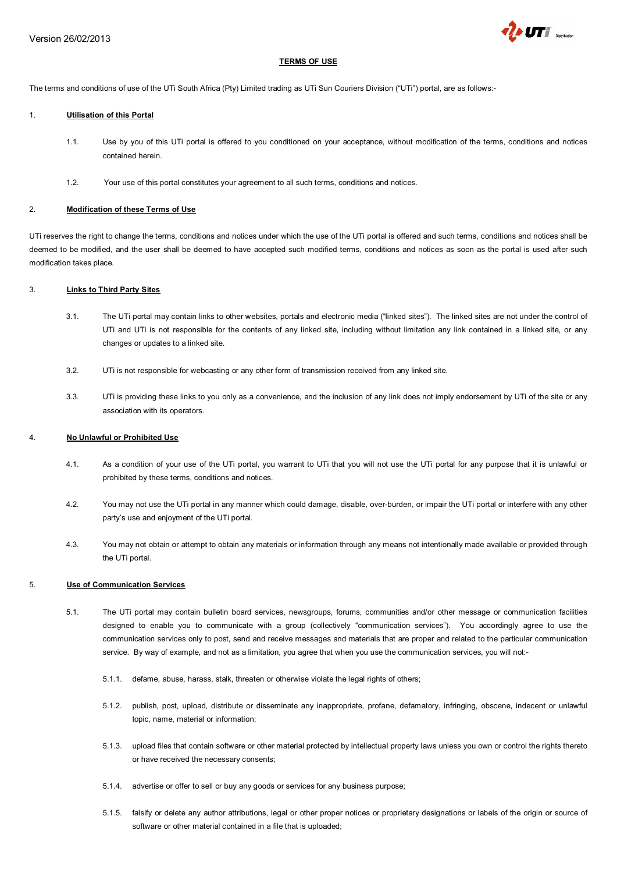

## **TERMS OF USE**

The terms and conditions of use of the UTi South Africa (Pty) Limited trading as UTi Sun Couriers Division ("UTi") portal, are as follows:-

#### 1. **Utilisation of this Portal**

- 1.1. Use by you of this UTi portal is offered to you conditioned on your acceptance, without modification of the terms, conditions and notices contained herein.
- 1.2. Your use of this portal constitutes your agreement to all such terms, conditions and notices.

## 2. **Modification of these Terms of Use**

UTi reserves the right to change the terms, conditions and notices under which the use of the UTi portal is offered and such terms, conditions and notices shall be deemed to be modified, and the user shall be deemed to have accepted such modified terms, conditions and notices as soon as the portal is used after such modification takes place.

#### 3. **Links to Third Party Sites**

- 3.1. The UTi portal may contain links to other websites, portals and electronic media ("linked sites"). The linked sites are not under the control of UTi and UTi is not responsible for the contents of any linked site, including without limitation any link contained in a linked site, or any changes or updates to a linked site.
- 3.2. UTi is not responsible for webcasting or any other form of transmission received from any linked site.
- 3.3. UTi is providing these links to you only as a convenience, and the inclusion of any link does not imply endorsement by UTi of the site or any association with its operators.

#### 4. **No Unlawful or Prohibited Use**

- 4.1. As a condition of your use of the UTi portal, you warrant to UTi that you will not use the UTi portal for any purpose that it is unlawful or prohibited by these terms, conditions and notices.
- 4.2. You may not use the UTi portal in any manner which could damage, disable, over-burden, or impair the UTi portal or interfere with any other party's use and enjoyment of the UTi portal.
- 4.3. You may not obtain or attempt to obtain any materials or information through any means not intentionally made available or provided through the UTi portal.

#### 5. **Use of Communication Services**

- 5.1. The UTi portal may contain bulletin board services, newsgroups, forums, communities and/or other message or communication facilities designed to enable you to communicate with a group (collectively "communication services"). You accordingly agree to use the communication services only to post, send and receive messages and materials that are proper and related to the particular communication service. By way of example, and not as a limitation, you agree that when you use the communication services, you will not:-
	- 5.1.1. defame, abuse, harass, stalk, threaten or otherwise violate the legal rights of others;
	- 5.1.2. publish, post, upload, distribute or disseminate any inappropriate, profane, defamatory, infringing, obscene, indecent or unlawful topic, name, material or information;
	- 5.1.3. upload files that contain software or other material protected by intellectual property laws unless you own or control the rights thereto or have received the necessary consents;
	- 5.1.4. advertise or offer to sell or buy any goods or services for any business purpose;
	- 5.1.5. falsify or delete any author attributions, legal or other proper notices or proprietary designations or labels of the origin or source of software or other material contained in a file that is uploaded;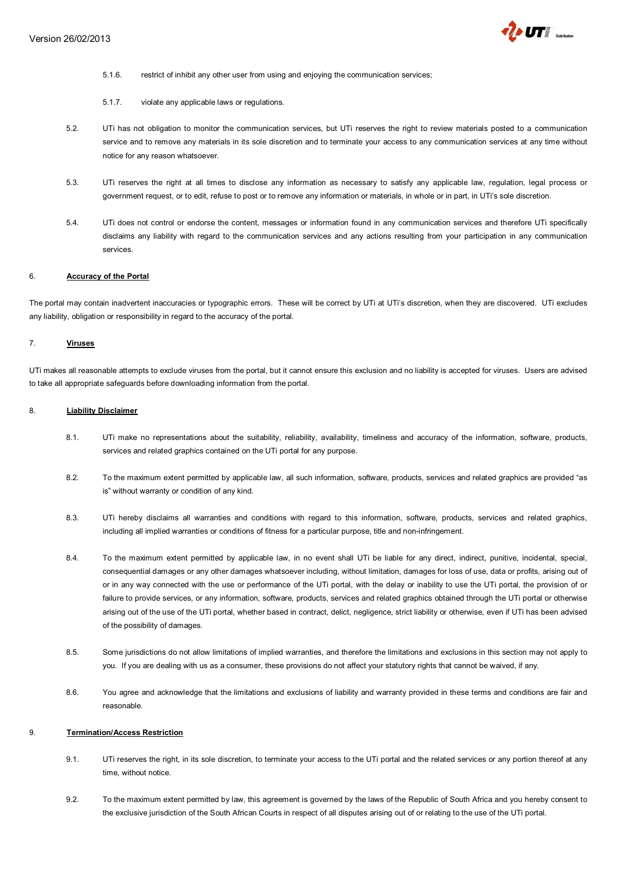

- 5.1.6. restrict of inhibit any other user from using and enjoying the communication services;
- 5.1.7. violate any applicable laws or regulations.
- 5.2. UTi has not obligation to monitor the communication services, but UTi reserves the right to review materials posted to a communication service and to remove any materials in its sole discretion and to terminate your access to any communication services at any time without notice for any reason whatsoever.
- 5.3. UTi reserves the right at all times to disclose any information as necessary to satisfy any applicable law, regulation, legal process or government request, or to edit, refuse to post or to remove any information or materials, in whole or in part, in UTi's sole discretion.
- 5.4. UTi does not control or endorse the content, messages or information found in any communication services and therefore UTi specifically disclaims any liability with regard to the communication services and any actions resulting from your participation in any communication services.

#### 6. **Accuracy of the Portal**

The portal may contain inadvertent inaccuracies or typographic errors. These will be correct by UTi at UTi's discretion, when they are discovered. UTi excludes any liability, obligation or responsibility in regard to the accuracy of the portal.

#### 7. **Viruses**

UTi makes all reasonable attempts to exclude viruses from the portal, but it cannot ensure this exclusion and no liability is accepted for viruses. Users are advised to take all appropriate safeguards before downloading information from the portal.

#### 8. **Liability Disclaimer**

- 8.1. UTi make no representations about the suitability, reliability, availability, timeliness and accuracy of the information, software, products, services and related graphics contained on the UTi portal for any purpose.
- 8.2. To the maximum extent permitted by applicable law, all such information, software, products, services and related graphics are provided "as is" without warranty or condition of any kind.
- 8.3. UTi hereby disclaims all warranties and conditions with regard to this information, software, products, services and related graphics, including all implied warranties or conditions of fitness for a particular purpose, title and non-infringement.
- 8.4. To the maximum extent permitted by applicable law, in no event shall UTi be liable for any direct, indirect, punitive, incidental, special, consequential damages or any other damages whatsoever including, without limitation, damages for loss of use, data or profits, arising out of or in any way connected with the use or performance of the UTi portal, with the delay or inability to use the UTi portal, the provision of or failure to provide services, or any information, software, products, services and related graphics obtained through the UTi portal or otherwise arising out of the use of the UTi portal, whether based in contract, delict, negligence, strict liability or otherwise, even if UTi has been advised of the possibility of damages.
- 8.5. Some jurisdictions do not allow limitations of implied warranties, and therefore the limitations and exclusions in this section may not apply to you. If you are dealing with us as a consumer, these provisions do not affect your statutory rights that cannot be waived, if any.
- 8.6. You agree and acknowledge that the limitations and exclusions of liability and warranty provided in these terms and conditions are fair and reasonable.

#### 9. **Termination/Access Restriction**

- 9.1. UTi reserves the right, in its sole discretion, to terminate your access to the UTi portal and the related services or any portion thereof at any time, without notice.
- 9.2. To the maximum extent permitted by law, this agreement is governed by the laws of the Republic of South Africa and you hereby consent to the exclusive jurisdiction of the South African Courts in respect of all disputes arising out of or relating to the use of the UTi portal.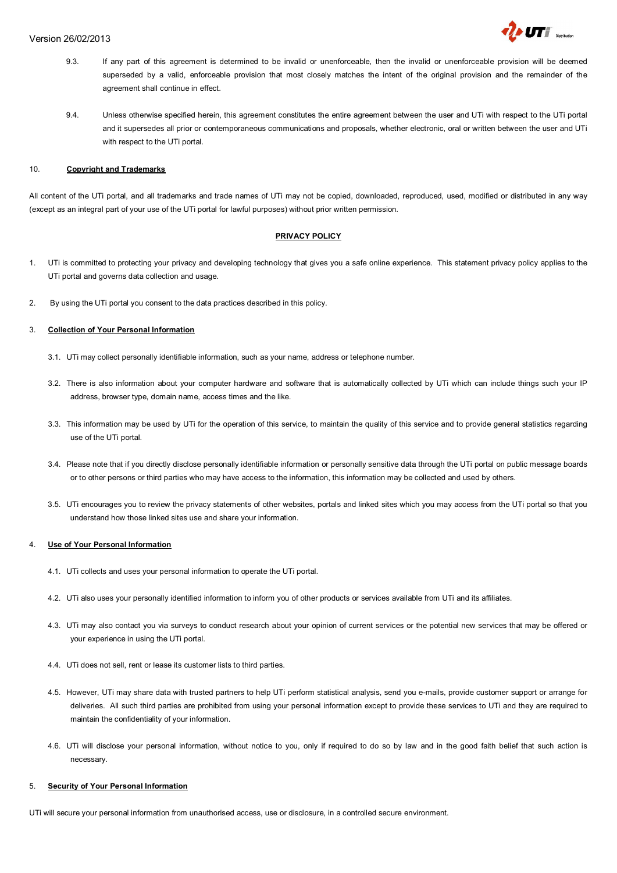

- 9.3. If any part of this agreement is determined to be invalid or unenforceable, then the invalid or unenforceable provision will be deemed superseded by a valid, enforceable provision that most closely matches the intent of the original provision and the remainder of the agreement shall continue in effect.
- 9.4. Unless otherwise specified herein, this agreement constitutes the entire agreement between the user and UTi with respect to the UTi portal and it supersedes all prior or contemporaneous communications and proposals, whether electronic, oral or written between the user and UTi with respect to the UTi portal.

#### 10. **Copyright and Trademarks**

All content of the UTi portal, and all trademarks and trade names of UTi may not be copied, downloaded, reproduced, used, modified or distributed in any way (except as an integral part of your use of the UTi portal for lawful purposes) without prior written permission.

## **PRIVACY POLICY**

- 1. UTi is committed to protecting your privacy and developing technology that gives you a safe online experience. This statement privacy policy applies to the UTi portal and governs data collection and usage.
- 2. By using the UTi portal you consent to the data practices described in this policy.

## 3. **Collection of Your Personal Information**

- 3.1. UTi may collect personally identifiable information, such as your name, address or telephone number.
- 3.2. There is also information about your computer hardware and software that is automatically collected by UTi which can include things such your IP address, browser type, domain name, access times and the like.
- 3.3. This information may be used by UTi for the operation of this service, to maintain the quality of this service and to provide general statistics regarding use of the UTi portal.
- 3.4. Please note that if you directly disclose personally identifiable information or personally sensitive data through the UTi portal on public message boards or to other persons or third parties who may have access to the information, this information may be collected and used by others.
- 3.5. UTi encourages you to review the privacy statements of other websites, portals and linked sites which you may access from the UTi portal so that you understand how those linked sites use and share your information.

#### 4. **Use of Your Personal Information**

- 4.1. UTi collects and uses your personal information to operate the UTi portal.
- 4.2. UTi also uses your personally identified information to inform you of other products or services available from UTi and its affiliates.
- 4.3. UTi may also contact you via surveys to conduct research about your opinion of current services or the potential new services that may be offered or your experience in using the UTi portal.
- 4.4. UTi does not sell, rent or lease its customer lists to third parties.
- 4.5. However, UTi may share data with trusted partners to help UTi perform statistical analysis, send you e-mails, provide customer support or arrange for deliveries. All such third parties are prohibited from using your personal information except to provide these services to UTi and they are required to maintain the confidentiality of your information.
- 4.6. UTi will disclose your personal information, without notice to you, only if required to do so by law and in the good faith belief that such action is necessary.

## 5. **Security of Your Personal Information**

UTi will secure your personal information from unauthorised access, use or disclosure, in a controlled secure environment.